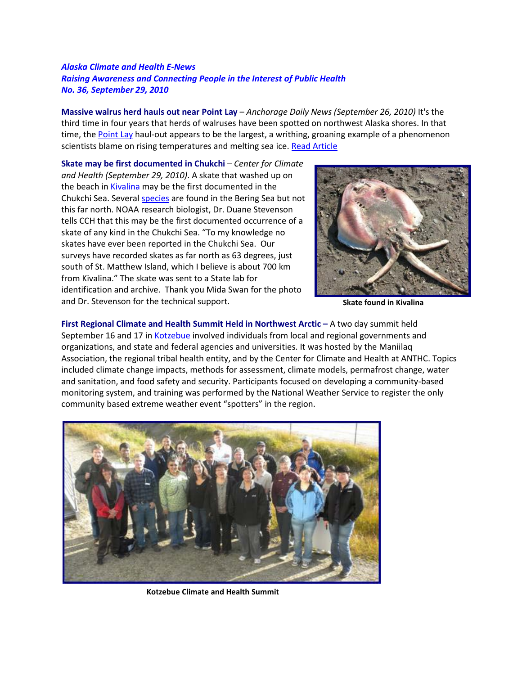## *Alaska Climate and Health E-News Raising Awareness and Connecting People in the Interest of Public Health No. 36, September 29, 2010*

**Massive walrus herd hauls out near Point Lay** – *Anchorage Daily News (September 26, 2010)* It's the third time in four years that herds of walruses have been spotted on northwest Alaska shores. In that time, the [Point Lay](http://maps.google.com/maps/ms?hl=en&ie=UTF8&msa=0&msid=110443637962132279311.00049169b1a816668e1cb&ll=65.58572,-144.404297&spn=17.389077,78.134766&z=4) haul-out appears to be the largest, a writhing, groaning example of a phenomenon scientists blame on rising temperatures and melting sea ice. [Read Article](http://www.adn.com/2010/09/25/1471943/walruses-move-inward.html)

**Skate may be first documented in Chukchi** – *Center for Climate and Health (September 29, 2010)*. A skate that washed up on the beach i[n Kivalina](http://maps.google.com/maps/ms?hl=en&ie=UTF8&msa=0&msid=110443637962132279311.00049169b1a816668e1cb&ll=67http://maps.google.com/maps/ms?hl=en&ie=UTF8&msa=0&msid=110443637962132279311.00049169b1a816668e1cb&ll=65.58572,-144.404297&spn=17.389077,78.134766&z=4) may be the first documented in the Chukchi Sea. Several [species](ftp://ftp.afsc.noaa.gov/posters/pDStevenson02_skates-of-alaska.pdf.) are found in the Bering Sea but not this far north. NOAA research biologist, Dr. Duane Stevenson tells CCH that this may be the first documented occurrence of a skate of any kind in the Chukchi Sea. "To my knowledge no skates have ever been reported in the Chukchi Sea. Our surveys have recorded skates as far north as 63 degrees, just south of St. Matthew Island, which I believe is about 700 km from Kivalina." The skate was sent to a State lab for identification and archive. Thank you Mida Swan for the photo and Dr. Stevenson for the technical support.



**Skate found in Kivalina**

**First Regional Climate and Health Summit Held in Northwest Arctic –** A two day summit held September 16 and 17 in [Kotzebue](http://maps.google.com/maps/ms?hl=en&ie=UTF8&msa=0&msid=110443637962132279311.00049169b1a816668e1cb&ll=67.958148,-155.083008&spn=7.814647,39.067383&z=5) involved individuals from local and regional governments and organizations, and state and federal agencies and universities. It was hosted by the Maniilaq Association, the regional tribal health entity, and by the Center for Climate and Health at ANTHC. Topics included climate change impacts, methods for assessment, climate models, permafrost change, water and sanitation, and food safety and security. Participants focused on developing a community-based monitoring system, and training was performed by the National Weather Service to register the only community based extreme weather event "spotters" in the region.



**Kotzebue Climate and Health Summit**